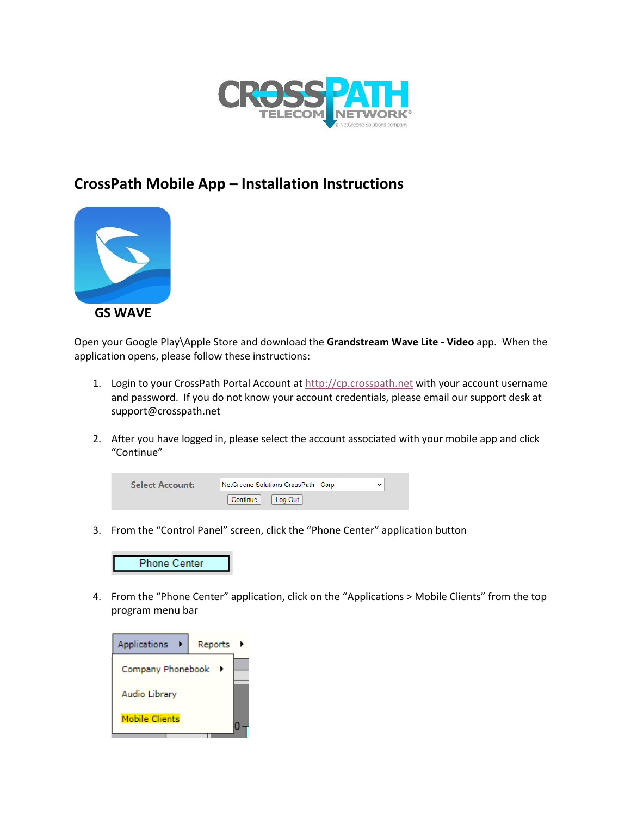

## **CrossPath Mobile App – Installation Instructions**



Open your Google Play\Apple Store and download the **Grandstream Wave Lite - Video** app. When the application opens, please follow these instructions:

- 1. Login to your CrossPath Portal Account at [http://cp.crosspath.net](http://cp.crosspath.net/) with your account username and password. If you do not know your account credentials, please email our support desk at support@crosspath.net
- 2. After you have logged in, please select the account associated with your mobile app and click "Continue"

| <b>Select Account:</b> | NetGreene Solutions CrossPath - Corp |  |
|------------------------|--------------------------------------|--|
|                        | Continue<br>Log Out                  |  |

3. From the "Control Panel" screen, click the "Phone Center" application button



4. From the "Phone Center" application, click on the "Applications > Mobile Clients" from the top program menu bar